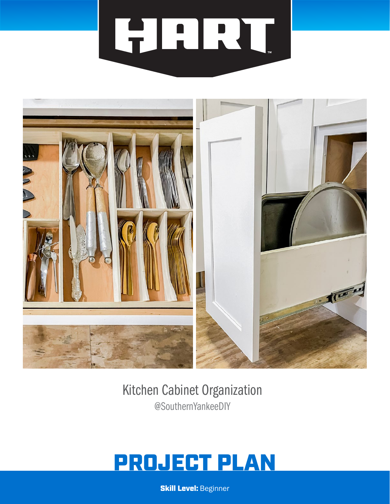# HART.



# Kitchen Cabinet Organization @SouthernYankeeDIY

# PROJECT PLAN

**Skill Level: Beginner**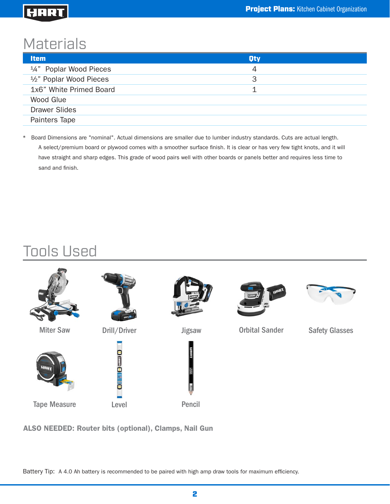# **Materials**

| <b>Item</b>                                      | <b>Oty</b> |
|--------------------------------------------------|------------|
| <sup>1</sup> / <sub>4</sub> " Poplar Wood Pieces | 4          |
| 1/2" Poplar Wood Pieces                          | 3          |
| 1x6" White Primed Board                          | 1          |
| Wood Glue                                        |            |
| <b>Drawer Slides</b>                             |            |
| Painters Tape                                    |            |

\* Board Dimensions are "nominal". Actual dimensions are smaller due to lumber industry standards. Cuts are actual length. A select/premium board or plywood comes with a smoother surface finish. It is clear or has very few tight knots, and it will have straight and sharp edges. This grade of wood pairs well with other boards or panels better and requires less time to sand and finish.

# Tools Used



ALSO NEEDED: Router bits (optional), Clamps, Nail Gun

Battery Tip: A 4.0 Ah battery is recommended to be paired with high amp draw tools for maximum efficiency.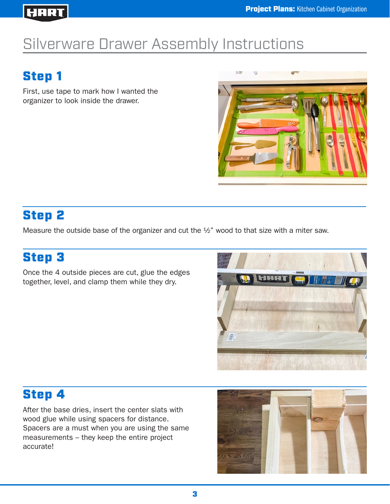# Silverware Drawer Assembly Instructions

# Step 1

First, use tape to mark how I wanted the organizer to look inside the drawer.



# Step 2

Measure the outside base of the organizer and cut the ½" wood to that size with a miter saw.

# Step 3

Once the 4 outside pieces are cut, glue the edges together, level, and clamp them while they dry.



# Step 4

After the base dries, insert the center slats with wood glue while using spacers for distance. Spacers are a must when you are using the same measurements – they keep the entire project accurate!

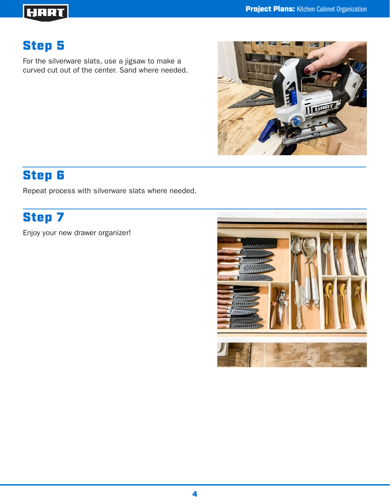# HHRT

# Step 5

For the silverware slats, use a jigsaw to make a curved cut out of the center. Sand where needed.



# Step 6

Repeat process with silverware slats where needed.

# Step 7

Enjoy your new drawer organizer!

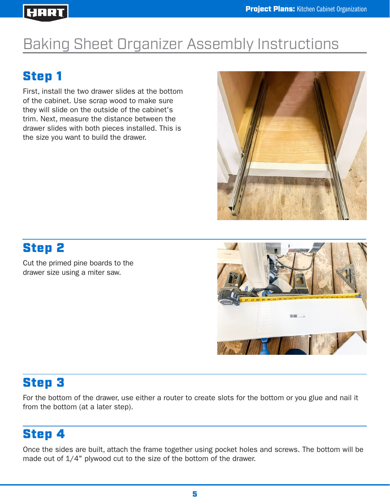# Baking Sheet Organizer Assembly Instructions

# Step 1

First, install the two drawer slides at the bottom of the cabinet. Use scrap wood to make sure they will slide on the outside of the cabinet's trim. Next, measure the distance between the drawer slides with both pieces installed. This is the size you want to build the drawer.



# Step 2

Cut the primed pine boards to the drawer size using a miter saw.



#### Step 3

For the bottom of the drawer, use either a router to create slots for the bottom or you glue and nail it from the bottom (at a later step).

# Step 4

Once the sides are built, attach the frame together using pocket holes and screws. The bottom will be made out of 1/4" plywood cut to the size of the bottom of the drawer.